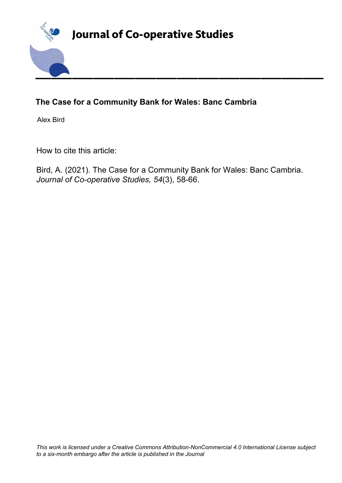

# **The Case for a Community Bank for Wales: Banc Cambria**

Alex Bird

How to cite this article:

Bird, A. (2021). The Case for a Community Bank for Wales: Banc Cambria. *Journal of Co-operative Studies, 54*(3), 58-66.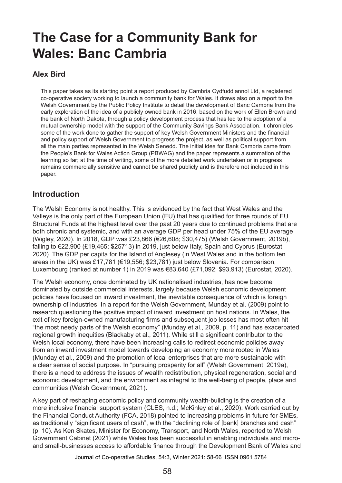# **The Case for a Community Bank for Wales: Banc Cambria**

## **Alex Bird**

This paper takes as its starting point a report produced by Cambria Cydfuddiannol Ltd, a registered co-operative society working to launch a community bank for Wales. It draws also on a report to the Welsh Government by the Public Policy Institute to detail the development of Banc Cambria from the early exploration of the idea of a publicly owned bank in 2016, based on the work of Ellen Brown and the bank of North Dakota, through a policy development process that has led to the adoption of a mutual ownership model with the support of the Community Savings Bank Association. It chronicles some of the work done to gather the support of key Welsh Government Ministers and the financial and policy support of Welsh Government to progress the project, as well as political support from all the main parties represented in the Welsh Senedd. The initial idea for Bank Cambria came from the People's Bank for Wales Action Group (PBWAG) and the paper represents a summation of the learning so far; at the time of writing, some of the more detailed work undertaken or in progress remains commercially sensitive and cannot be shared publicly and is therefore not included in this paper.

## **Introduction**

The Welsh Economy is not healthy. This is evidenced by the fact that West Wales and the Valleys is the only part of the European Union (EU) that has qualified for three rounds of EU Structural Funds at the highest level over the past 20 years due to continued problems that are both chronic and systemic, and with an average GDP per head under 75% of the EU average (Wigley, 2020). In 2018, GDP was £23,866 (€26,608; \$30,475) (Welsh Government, 2019b), falling to €22,900 (£19,465; \$25713) in 2019, just below Italy, Spain and Cyprus (Eurostat, 2020). The GDP per capita for the Island of Anglesey (in West Wales and in the bottom ten areas in the UK) was £17,781 (€19,556; \$23,781) just below Slovenia. For comparison, Luxembourg (ranked at number 1) in 2019 was €83,640 (£71,092; \$93,913) (Eurostat, 2020).

The Welsh economy, once dominated by UK nationalised industries, has now become dominated by outside commercial interests, largely because Welsh economic development policies have focused on inward investment, the inevitable consequence of which is foreign ownership of industries. In a report for the Welsh Government, Munday et al. (2009) point to research questioning the positive impact of inward investment on host nations. In Wales, the exit of key foreign-owned manufacturing firms and subsequent job losses has most often hit "the most needy parts of the Welsh economy" (Munday et al., 2009, p. 11) and has exacerbated regional growth inequities (Blackaby et al., 2011). While still a significant contributor to the Welsh local economy, there have been increasing calls to redirect economic policies away from an inward investment model towards developing an economy more rooted in Wales (Munday et al., 2009) and the promotion of local enterprises that are more sustainable with a clear sense of social purpose. In "pursuing prosperity for all" (Welsh Government, 2019a), there is a need to address the issues of wealth redistribution, physical regeneration, social and economic development, and the environment as integral to the well-being of people, place and communities (Welsh Government, 2021).

A key part of reshaping economic policy and community wealth-building is the creation of a more inclusive financial support system (CLES, n.d.; McKinley et al., 2020). Work carried out by the Financial Conduct Authority (FCA, 2018) pointed to increasing problems in future for SMEs, as traditionally "significant users of cash", with the "declining role of [bank] branches and cash" (p. 10). As Ken Skates, Minister for Economy, Transport, and North Wales, reported to Welsh Government Cabinet (2021) while Wales has been successful in enabling individuals and microand small-businesses access to affordable finance through the Development Bank of Wales and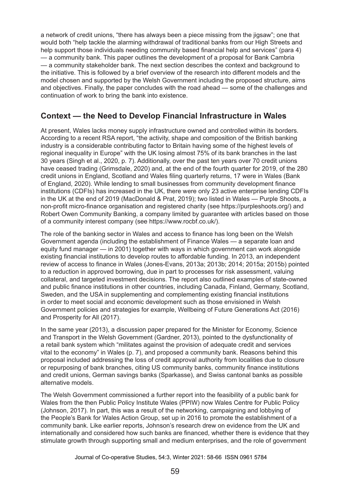a network of credit unions, "there has always been a piece missing from the jigsaw"; one that would both "help tackle the alarming withdrawal of traditional banks from our High Streets and help support those individuals needing community based financial help and services" (para 4) — a community bank. This paper outlines the development of a proposal for Bank Cambria — a community stakeholder bank. The next section describes the context and background to the initiative. This is followed by a brief overview of the research into different models and the model chosen and supported by the Welsh Government including the proposed structure, aims and objectives. Finally, the paper concludes with the road ahead — some of the challenges and continuation of work to bring the bank into existence.

## **Context — the Need to Develop Financial Infrastructure in Wales**

At present, Wales lacks money supply infrastructure owned and controlled within its borders. According to a recent RSA report, "the activity, shape and composition of the British banking industry is a considerable contributing factor to Britain having some of the highest levels of regional inequality in Europe" with the UK losing almost 75% of its bank branches in the last 30 years (Singh et al., 2020, p. 7). Additionally, over the past ten years over 70 credit unions have ceased trading (Grimsdale, 2020) and, at the end of the fourth quarter for 2019, of the 280 credit unions in England, Scotland and Wales filing quarterly returns, 17 were in Wales (Bank of England, 2020). While lending to small businesses from community development finance institutions (CDFIs) has increased in the UK, there were only 23 active enterprise lending CDFIs in the UK at the end of 2019 (MacDonald & Prat, 2019); two listed in Wales — Purple Shoots, a non-profit micro-finance organisation and registered charity (see https://purpleshoots.org/) and Robert Owen Community Banking, a company limited by guarantee with articles based on those of a community interest company (see https://www.rocbf.co.uk/).

The role of the banking sector in Wales and access to finance has long been on the Welsh Government agenda (including the establishment of Finance Wales — a separate loan and equity fund manager — in 2001) together with ways in which government can work alongside existing financial institutions to develop routes to affordable funding. In 2013, an independent review of access to finance in Wales (Jones-Evans, 2013a; 2013b; 2014; 2015a; 2015b) pointed to a reduction in approved borrowing, due in part to processes for risk assessment, valuing collateral, and targeted investment decisions. The report also outlined examples of state-owned and public finance institutions in other countries, including Canada, Finland, Germany, Scotland, Sweden, and the USA in supplementing and complementing existing financial institutions in order to meet social and economic development such as those envisioned in Welsh Government policies and strategies for example, Wellbeing of Future Generations Act (2016) and Prosperity for All (2017).

In the same year (2013), a discussion paper prepared for the Minister for Economy, Science and Transport in the Welsh Government (Gardner, 2013), pointed to the dysfunctionality of a retail bank system which "militates against the provision of adequate credit and services vital to the economy" in Wales (p. 7), and proposed a community bank. Reasons behind this proposal included addressing the loss of credit approval authority from localities due to closure or repurposing of bank branches, citing US community banks, community finance institutions and credit unions, German savings banks (Sparkasse), and Swiss cantonal banks as possible alternative models.

The Welsh Government commissioned a further report into the feasibility of a public bank for Wales from the then Public Policy Institute Wales (PPIW) now Wales Centre for Public Policy (Johnson, 2017). In part, this was a result of the networking, campaigning and lobbying of the People's Bank for Wales Action Group, set up in 2016 to promote the establishment of a community bank. Like earlier reports, Johnson's research drew on evidence from the UK and internationally and considered how such banks are financed, whether there is evidence that they stimulate growth through supporting small and medium enterprises, and the role of government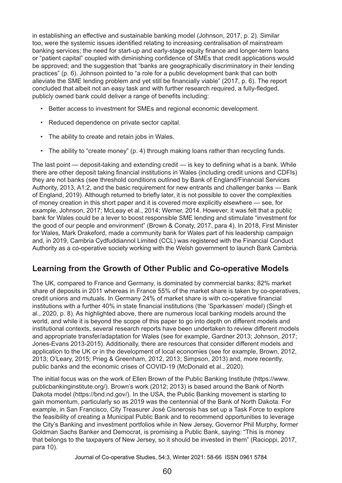in establishing an effective and sustainable banking model (Johnson, 2017, p. 2). Similar too, were the systemic issues identified relating to increasing centralisation of mainstream banking services; the need for start-up and early-stage equity finance and longer-term loans or "patient capital" coupled with diminishing confidence of SMEs that credit applications would be approved; and the suggestion that "banks are geographically discriminatory in their lending practices" (p. 6). Johnson pointed to "a role for a public development bank that can both alleviate the SME lending problem and yet still be financially viable" (2017, p. 6). The report concluded that albeit not an easy task and with further research required, a fully-fledged, publicly owned bank could deliver a range of benefits including:

- Better access to investment for SMEs and regional economic development.
- Reduced dependence on private sector capital.
- The ability to create and retain jobs in Wales.
- The ability to "create money" (p. 4) through making loans rather than recycling funds.

The last point — deposit-taking and extending credit — is key to defining what is a bank. While there are other deposit taking financial institutions in Wales (including credit unions and CDFIs) they are not banks (see threshold conditions outlined by Bank of England/Financial Services Authority, 2013, A1:2, and the basic requirement for new entrants and challenger banks — Bank of England, 2019). Although returned to briefly later, it is not possible to cover the complexities of money creation in this short paper and it is covered more explicitly elsewhere — see, for example, Johnson, 2017; McLeay et al., 2014; Werner, 2014. However, it was felt that a public bank for Wales could be a lever to boost responsible SME lending and stimulate "investment for the good of our people and environment" (Brown & Conaty, 2017, para 4). In 2018, First Minister for Wales, Mark Drakeford, made a community bank for Wales part of his leadership campaign and, in 2019, Cambria Cydfuddiannol Limited (CCL) was registered with the Financial Conduct Authority as a co-operative society working with the Welsh government to launch Bank Cambria.

## **Learning from the Growth of Other Public and Co-operative Models**

The UK, compared to France and Germany, is dominated by commercial banks; 82% market share of deposits in 2011 whereas in France 55% of the market share is taken by co-operatives, credit unions and mutuals. In Germany 24% of market share is with co-operative financial institutions with a further 40% in state financial institutions (the 'Sparkassen' model) (Singh et al., 2020, p. 8). As highlighted above, there are numerous local banking models around the world, and while it is beyond the scope of this paper to go into depth on different models and institutional contexts, several research reports have been undertaken to review different models and appropriate transfer/adaptation for Wales (see for example, Gardner 2013; Johnson, 2017; Jones-Evans 2013-2015). Additionally, there are resources that consider different models and application to the UK or in the development of local economies (see for example, Brown, 2012, 2013; O'Leary, 2015; Prieg & Greenham, 2012, 2013; Simpson, 2013) and, more recently, public banks and the economic crises of COVID-19 (McDonald et al., 2020).

The initial focus was on the work of Ellen Brown of the Public Banking Institute (https://www. publicbankinginstitute.org/). Brown's work (2012; 2013) is based around the Bank of North Dakota model (https://bnd.nd.gov/). In the USA, the Public Banking movement is starting to gain momentum, particularly so as 2019 was the centennial of the Bank of North Dakota. For example, in San Francisco, City Treasurer José Cisnerosis has set up a Task Force to explore the feasibility of creating a Municipal Public Bank and to recommend opportunities to leverage the City's Banking and investment portfolios while in New Jersey, Governor Phil Murphy, former Goldman Sachs Banker and Democrat, is promising a Public Bank, saying: "This is money that belongs to the taxpayers of New Jersey, so it should be invested in them" (Racioppi, 2017, para 10).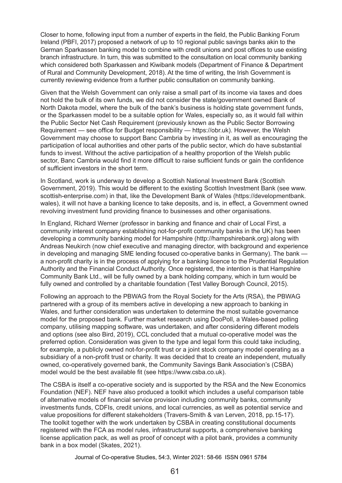Closer to home, following input from a number of experts in the field, the Public Banking Forum Ireland (PBFI, 2017) proposed a network of up to 10 regional public savings banks akin to the German Sparkassen banking model to combine with credit unions and post offices to use existing branch infrastructure. In turn, this was submitted to the consultation on local community banking which considered both Sparkassen and Kiwibank models (Department of Finance & Department of Rural and Community Development, 2018). At the time of writing, the Irish Government is currently reviewing evidence from a further public consultation on community banking.

Given that the Welsh Government can only raise a small part of its income via taxes and does not hold the bulk of its own funds, we did not consider the state/government owned Bank of North Dakota model, where the bulk of the bank's business is holding state government funds, or the Sparkassen model to be a suitable option for Wales, especially so, as it would fall within the Public Sector Net Cash Requirement (previously known as the Public Sector Borrowing Requirement — see office for Budget responsibility — https://obr.uk). However, the Welsh Government may choose to support Banc Cambria by investing in it, as well as encouraging the participation of local authorities and other parts of the public sector, which do have substantial funds to invest. Without the active participation of a healthy proportion of the Welsh public sector, Banc Cambria would find it more difficult to raise sufficient funds or gain the confidence of sufficient investors in the short term.

In Scotland, work is underway to develop a Scottish National Investment Bank (Scottish Government, 2019). This would be different to the existing Scottish Investment Bank (see www. scottish-enterprise.com) in that, like the Development Bank of Wales (https://developmentbank. wales), it will not have a banking licence to take deposits, and is, in effect, a Government owned revolving investment fund providing finance to businesses and other organisations.

In England, Richard Werner (professor in banking and finance and chair of Local First, a community interest company establishing not-for-profit community banks in the UK) has been developing a community banking model for Hampshire (http://hampshirebank.org) along with Andreas Neukirch (now chief executive and managing director, with background and experience in developing and managing SME lending focused co-operative banks in Germany). The bank a non-profit charity is in the process of applying for a banking licence to the Prudential Regulation Authority and the Financial Conduct Authority. Once registered, the intention is that Hampshire Community Bank Ltd., will be fully owned by a bank holding company, which in turn would be fully owned and controlled by a charitable foundation (Test Valley Borough Council, 2015).

Following an approach to the PBWAG from the Royal Society for the Arts (RSA), the PBWAG partnered with a group of its members active in developing a new approach to banking in Wales, and further consideration was undertaken to determine the most suitable governance model for the proposed bank. Further market research using DooPoll, a Wales-based polling company, utilising mapping software, was undertaken, and after considering different models and options (see also Bird, 2019), CCL concluded that a mutual co-operative model was the preferred option. Consideration was given to the type and legal form this could take including, for example, a publicly owned not-for-profit trust or a joint stock company model operating as a subsidiary of a non-profit trust or charity. It was decided that to create an independent, mutually owned, co-operatively governed bank, the Community Savings Bank Association's (CSBA) model would be the best available fit (see https://www.csba.co.uk).

The CSBA is itself a co-operative society and is supported by the RSA and the New Economics Foundation (NEF). NEF have also produced a toolkit which includes a useful comparison table of alternative models of financial service provision including community banks, community investments funds, CDFIs, credit unions, and local currencies, as well as potential service and value propositions for different stakeholders (Travers-Smith & van Lerven, 2018, pp.15-17). The toolkit together with the work undertaken by CSBA in creating constitutional documents registered with the FCA as model rules, infrastructural supports, a comprehensive banking license application pack, as well as proof of concept with a pilot bank, provides a community bank in a box model (Skates, 2021).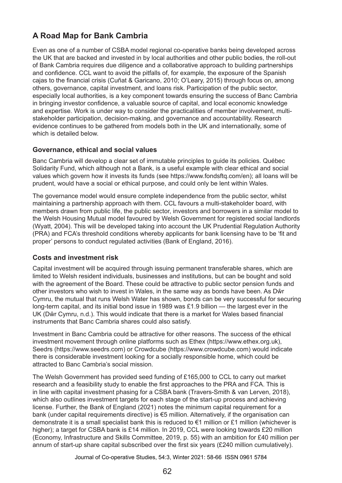# **A Road Map for Bank Cambria**

Even as one of a number of CSBA model regional co-operative banks being developed across the UK that are backed and invested in by local authorities and other public bodies, the roll-out of Bank Cambria requires due diligence and a collaborative approach to building partnerships and confidence. CCL want to avoid the pitfalls of, for example, the exposure of the Spanish cajas to the financial crisis (Cuñat & Garicano, 2010; O'Leary, 2015) through focus on, among others, governance, capital investment, and loans risk. Participation of the public sector, especially local authorities, is a key component towards ensuring the success of Banc Cambria in bringing investor confidence, a valuable source of capital, and local economic knowledge and expertise. Work is under way to consider the practicalities of member involvement, multistakeholder participation, decision-making, and governance and accountability. Research evidence continues to be gathered from models both in the UK and internationally, some of which is detailed below.

#### **Governance, ethical and social values**

Banc Cambria will develop a clear set of immutable principles to guide its policies. Québec Solidarity Fund, which although not a Bank, is a useful example with clear ethical and social values which govern how it invests its funds (see https://www.fondsftq.com/en); all loans will be prudent, would have a social or ethical purpose, and could only be lent within Wales.

The governance model would ensure complete independence from the public sector, whilst maintaining a partnership approach with them. CCL favours a multi-stakeholder board, with members drawn from public life, the public sector, investors and borrowers in a similar model to the Welsh Housing Mutual model favoured by Welsh Government for registered social landlords (Wyatt, 2004). This will be developed taking into account the UK Prudential Regulation Authority (PRA) and FCA's threshold conditions whereby applicants for bank licensing have to be 'fit and proper' persons to conduct regulated activities (Bank of England, 2016).

#### **Costs and investment risk**

Capital investment will be acquired through issuing permanent transferable shares, which are limited to Welsh resident individuals, businesses and institutions, but can be bought and sold with the agreement of the Board. These could be attractive to public sector pension funds and other investors who wish to invest in Wales, in the same way as bonds have been. As Dŵr Cymru, the mutual that runs Welsh Water has shown, bonds can be very successful for securing long-term capital, and its initial bond issue in 1989 was £1.9 billion — the largest ever in the UK (Dŵr Cymru, n.d.). This would indicate that there is a market for Wales based financial instruments that Banc Cambria shares could also satisfy.

Investment in Banc Cambria could be attractive for other reasons. The success of the ethical investment movement through online platforms such as Ethex (https://www.ethex.org.uk), Seedrs (https://www.seedrs.com) or Crowdcube (https://www.crowdcube.com) would indicate there is considerable investment looking for a socially responsible home, which could be attracted to Banc Cambria's social mission.

The Welsh Government has provided seed funding of £165,000 to CCL to carry out market research and a feasibility study to enable the first approaches to the PRA and FCA. This is in line with capital investment phasing for a CSBA bank (Travers-Smith & van Lerven, 2018), which also outlines investment targets for each stage of the start-up process and achieving license. Further, the Bank of England (2021) notes the minimum capital requirement for a bank (under capital requirements directive) is €5 million. Alternatively, if the organisation can demonstrate it is a small specialist bank this is reduced to €1 million or £1 million (whichever is higher); a target for CSBA bank is £14 million. In 2019, CCL were looking towards £20 million (Economy, Infrastructure and Skills Committee, 2019, p. 55) with an ambition for £40 million per annum of start-up share capital subscribed over the first six years (£240 million cumulatively).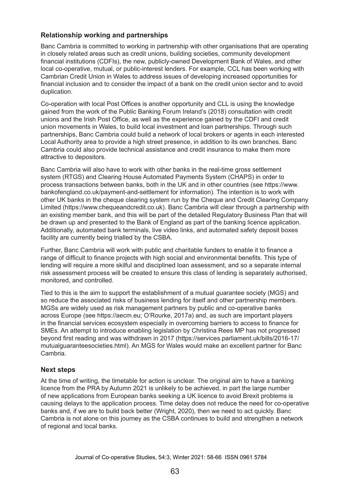## **Relationship working and partnerships**

Banc Cambria is committed to working in partnership with other organisations that are operating in closely related areas such as credit unions, building societies, community development financial institutions (CDFIs), the new, publicly-owned Development Bank of Wales, and other local co-operative, mutual, or public-interest lenders. For example, CCL has been working with Cambrian Credit Union in Wales to address issues of developing increased opportunities for financial inclusion and to consider the impact of a bank on the credit union sector and to avoid duplication.

Co-operation with local Post Offices is another opportunity and CLL is using the knowledge gained from the work of the Public Banking Forum Ireland's (2018) consultation with credit unions and the Irish Post Office, as well as the experience gained by the CDFI and credit union movements in Wales, to build local investment and loan partnerships. Through such partnerships, Banc Cambria could build a network of local brokers or agents in each interested Local Authority area to provide a high street presence, in addition to its own branches. Banc Cambria could also provide technical assistance and credit insurance to make them more attractive to depositors.

Banc Cambria will also have to work with other banks in the real-time gross settlement system (RTGS) and Clearing House Automated Payments System (CHAPS) in order to process transactions between banks, both in the UK and in other countries (see https://www. bankofengland.co.uk/payment-and-settlement for information). The intention is to work with other UK banks in the cheque clearing system run by the Cheque and Credit Clearing Company Limited (https://www.chequeandcredit.co.uk). Banc Cambria will clear through a partnership with an existing member bank, and this will be part of the detailed Regulatory Business Plan that will be drawn up and presented to the Bank of England as part of the banking licence application. Additionally, automated bank terminals, live video links, and automated safety deposit boxes facility are currently being trialled by the CSBA.

Further, Banc Cambria will work with public and charitable funders to enable it to finance a range of difficult to finance projects with high social and environmental benefits. This type of lending will require a more skilful and disciplined loan assessment, and so a separate internal risk assessment process will be created to ensure this class of lending is separately authorised, monitored, and controlled.

Tied to this is the aim to support the establishment of a mutual guarantee society (MGS) and so reduce the associated risks of business lending for itself and other partnership members. MGSs are widely used as risk management partners by public and co-operative banks across Europe (see https://aecm.eu; O'Rourke, 2017a) and, as such are important players in the financial services ecosystem especially in overcoming barriers to access to finance for SMEs. An attempt to introduce enabling legislation by Christina Rees MP has not progressed beyond first reading and was withdrawn in 2017 (https://services.parliament.uk/bills/2016-17/ mutualguaranteesocieties.html). An MGS for Wales would make an excellent partner for Banc Cambria.

## **Next steps**

At the time of writing, the timetable for action is unclear. The original aim to have a banking licence from the PRA by Autumn 2021 is unlikely to be achieved, in part the large number of new applications from European banks seeking a UK licence to avoid Brexit problems is causing delays to the application process. Time delay does not reduce the need for co-operative banks and, if we are to build back better (Wright, 2020), then we need to act quickly. Banc Cambria is not alone on this journey as the CSBA continues to build and strengthen a network of regional and local banks.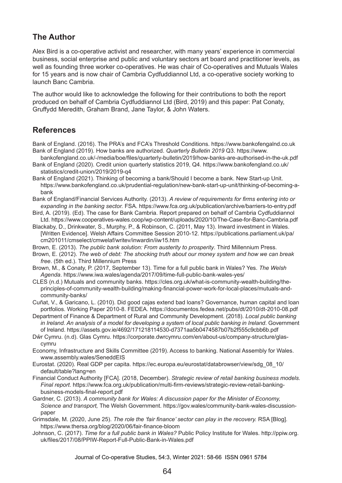## **The Author**

Alex Bird is a co-operative activist and researcher, with many years' experience in commercial business, social enterprise and public and voluntary sectors art board and practitioner levels, as well as founding three worker co-operatives. He was chair of Co-operatives and Mutuals Wales for 15 years and is now chair of Cambria Cydfuddiannol Ltd, a co-operative society working to launch Banc Cambria.

The author would like to acknowledge the following for their contributions to both the report produced on behalf of Cambria Cydfuddiannol Ltd (Bird, 2019) and this paper: Pat Conaty, Gruffydd Meredith, Graham Brand, Jane Taylor, & John Waters.

## **References**

Bank of England. (2016). The PRA's and FCA's Threshold Conditions. https://www.bankofengalnd.co.uk Bank of England (2019). How banks are authorized. *Quarterly Bulletin 2019* Q3. https://www.

- bankofengland.co.uk/-/media/boe/files/quarterly-bulletin/2019/how-banks-are-authorised-in-the-uk.pdf Bank of England (2020). Credit union quarterly statistics 2019, Q4. https://www.bankofengland.co.uk/ statistics/credit-union/2019/2019-q4
- Bank of England (2021). Thinking of becoming a bank/Should I become a bank. New Start-up Unit. https://www.bankofengland.co.uk/prudential-regulation/new-bank-start-up-unit/thinking-of-becoming-abank

Bank of England/Financial Services Authority. (2013). *A review of requirements for firms entering into or expanding in the banking sector.* FSA. https://www.fca.org.uk/publication/archive/barriers-to-entry.pdf

Bird, A. (2019). (Ed). The case for Bank Cambria. Report prepared on behalf of Cambria Cydfuddiannol Ltd. https://www.cooperatives-wales.coop/wp-content/uploads/2020/10/The-Case-for-Banc-Cambria.pdf

Blackaby, D., Drinkwater, S., Murphy, P., & Robinson, C. (2011, May 13). Inward investment in Wales. [Written Evidence]. Welsh Affairs Committee Session 2010-12. https://publications.parliament.uk/pa/ cm201011/cmselect/cmwelaf/writev/inwardin/iiw15.htm

Brown, E. (2013). *The public bank solution: From austerity to prosperity*. Third Millennium Press.

Brown, E. (2012). *The web of debt: The shocking truth about our money system and how we can break free*. (5th ed.). Third Millennium Press

- Brown, M., & Conaty, P. (2017, September 13). Time for a full public bank in Wales? Yes. *The Welsh Agenda*. https://www.iwa.wales/agenda/2017/09/time-full-public-bank-wales-yes/
- CLES (n.d.) Mutuals and community banks. https://cles.org.uk/what-is-community-wealth-building/theprinciples-of-community-wealth-building/making-financial-power-work-for-local-places/mutuals-andcommunity-banks/
- Cuñat, V., & Garicano, L. (2010). Did good cajas extend bad loans? Governance, human capital and loan portfolios. Working Paper 2010-8. FEDEA. https://documentos.fedea.net/pubs/dt/2010/dt-2010-08.pdf
- Department of Finance & Department of Rural and Community Development. (2018). *Local public banking in Ireland. An analysis of a model for developing a system of local public banking in Ireland.* Government of Ireland. https://assets.gov.ie/4692/171218114530-d7371aa5b0474587b07b2f555c9cbb6b.pdf
- Dŵr Cymru. (n.d). Glas Cymru. https://corporate.dwrcymru.com/en/about-us/company-structure/glascymru
- Economy, Infrastructure and Skills Committee (2019). Access to banking. National Assembly for Wales. www.assembly.wales/SeneddEIS
- Eurostat. (2020). Real GDP per capita. https://ec.europa.eu/eurostat/databrowser/view/sdg\_08\_10/ default/table?lang=en
- Financial Conduct Authority [FCA]. (2018, December). *Strategic review of retail banking business models. Final report*. https://www.fca.org.uk/publication/multi-firm-reviews/strategic-review-retail-bankingbusiness-models-final-report.pdf
- Gardner, C. (2013). *A community bank for Wales: A discussion paper for the Minister of Economy, Science and transport,* The Welsh Government. https://gov.wales/community-bank-wales-discussionpaper
- Grimsdale, M. (2020, June 25). *The role the 'fair finance' sector can play in the recovery.* RSA [Blog]. https://www.thersa.org/blog/2020/06/fair-finance-bloom
- Johnson, C. (2017). *Time for a full public bank in Wales?* Public Policy Institute for Wales. http://ppiw.org. uk/files/2017/08/PPIW-Report-Full-Public-Bank-in-Wales.pdf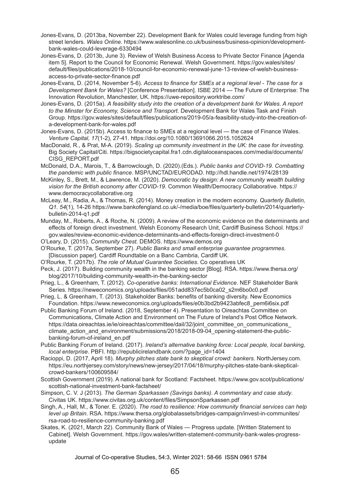- Jones-Evans, D. (2013ba, November 22). Development Bank for Wales could leverage funding from high street lenders. *Wales Online*. https://www.walesonline.co.uk/business/business-opinion/developmentbank-wales-could-leverage-6330494
- Jones-Evans, D. (2013b, June 3). Review of Welsh Business Access to Private Sector Finance [Agenda item 5]. Report to the Council for Economic Renewal. Welsh Government. https://gov.wales/sites/ default/files/publications/2018-10/council-for-economic-renewal-june-13-review-of-welsh-businessaccess-to-private-sector-finance.pdf
- Jones-Evans, D. (2014, November 5-6). *Access to finance for SMEs at a regional level The case for a Development Bank for Wales?* [Conference Presentation]. ISBE 2014 — The Future of Enterprise: The Innovation Revolution, Manchester, UK. https://uwe-repository.worktribe.com/
- Jones-Evans, D. (2015a). *A feasibility study into the creation of a development bank for Wales. A report to the Minster for Economy, Science and Transport*. Development Bank for Wales Task and Finish Group. https://gov.wales/sites/default/files/publications/2019-05/a-feasibility-study-into-the-creation-ofa-development-bank-for-wales.pdf
- Jones-Evans, D. (2015b). Access to finance to SMEs at a regional level the case of Finance Wales. *Venture Capital, 17*(1-2), 27-41. https://doi.org/10.1080/13691066.2015.1052624
- MacDonald, R., & Prat, M-A. (2019). *Scaling up community investment in the UK: the case for investing.* Big Society Capital/Citi. https://bigsocietycapital.fra1.cdn.digitaloceanspaces.com/media/documents/ CISG\_REPORT.pdf
- McDonald, D.A., Marois, T., & Barrowclough, D. (2020).(Eds.). *Public banks and COVID-19. Combatting the pandemic with public finance*. MSP/UNCTAD/EURODAD. http://hdl.handle.net/1974/28139
- McKinley, S., Brett, M., & Lawrence, M. (2020). *Democratic by design: A new community wealth building vision for the British economy after COVID-19*. Common Wealth/Democracy Collaborative. https:// www.democracycollaborative.org
- McLeay, M., Radia, A., & Thomas, R. (2014). Money creation in the modern economy. *Quarterly Bulletin, Q1. 54*(1), 14-26 https://www.bankofengland.co.uk/-/media/boe/files/quarterly-bulletin/2014/quarterlybulletin-2014-q1.pdf
- Munday, M., Roberts, A., & Roche, N. (2009). A review of the economic evidence on the determinants and effects of foreign direct investment. Welsh Economy Research Unit, Cardiff Business School. https:// gov.wales/review-economic-evidence-determinants-and-effects-foreign-direct-investment-0
- O'Leary, D. (2015). *Community Chest.* DEMOS. https://www.demos.org
- O'Rourke, T. (2017a, September 27). *Public Banks and small enterprise guarantee programmes.*  [Discussion paper]. Cardiff Roundtable on a Banc Cambria, Cardiff UK.
- O'Rourke, T. (2017b). *The role of Mutual Guarantee Societies*. Co operatives UK
- Peck, J. (2017). Building community wealth in the banking sector [Blog]. RSA. https://www.thersa.org/ blog/2017/10/building-community-wealth-in-the-banking-sector
- Prieg, L., & Greenham, T. (2012). *Co-operative banks: International Evidence*. NEF Stakeholder Bank Series. https://neweconomics.org/uploads/files/051add837ec5b0ca02\_s2m6bo0c0.pdf
- Prieg, L. & Greenham, T. (2013). Stakeholder Banks: benefits of banking diversity. New Economics Foundation. https://www.neweconomics.org/uploads/files/e0b3bd2b9423abfec8\_pem6i6six.pdf
- Public Banking Forum of Ireland. (2018, September 4). Presentation to Oireachtas Committee on Communications, Climate Action and Environment on The Future of Ireland's Post Office Network. https://data.oireachtas.ie/ie/oireachtas/committee/dail/32/joint\_committee\_on\_communications climate action and environment/submissions/2018/2018-09-04 opening-statement-the-publicbanking-forum-of-ireland\_en.pdf
- Public Banking Forum of Ireland. (2017). *Ireland's alternative banking force: Local people, local banking, local enterprise*. PBFI. http://republicirelandbank.com/?page\_id=1404
- Racioppi, D. (2017, April 18). *Murphy pitches state bank to skeptical crowd: bankers.* NorthJersey.com. https://eu.northjersey.com/story/news/new-jersey/2017/04/18/murphy-pitches-state-bank-skepticalcrowd-bankers/100609584/
- Scottish Government (2019). A national bank for Scotland: Factsheet. https://www.gov.scot/publications/ scottish-national-investment-bank-factsheet/
- Simpson, C. V. J (2013). *The German Sparkassen (Savings banks). A commentary and case study*. Civitas UK. https://www.civitas.org.uk/content/files/SimpsonSparkassen.pdf
- Singh, A., Hall, M., & Toner. E. (2020). *The road to resilience: How community financial services can help level up Britain*. RSA. https://www.thersa.org/globalassets/bridges-campaign/invest-in-communites/ rsa-road-to-resilience-community-banking.pdf
- Skates, K. (2021, March 22). Community Bank of Wales Progress update. [Written Statement to Cabinet]. Welsh Government. https://gov.wales/written-statement-community-bank-wales-progressupdate